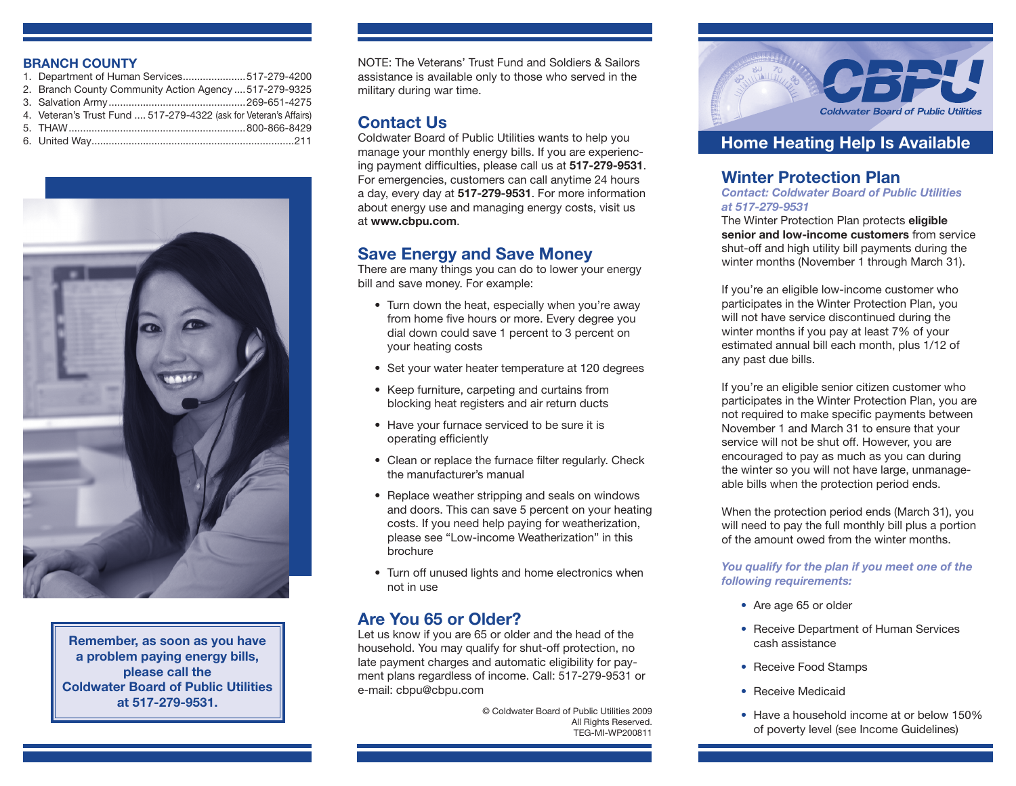### **BRANCH COUNTY**

| 1. Department of Human Services517-279-4200                       |  |
|-------------------------------------------------------------------|--|
| 2. Branch County Community Action Agency  517-279-9325            |  |
|                                                                   |  |
| 4. Veteran's Trust Fund  517-279-4322 (ask for Veteran's Affairs) |  |
|                                                                   |  |
|                                                                   |  |



**Remember, as soon as you have a problem paying energy bills, please call the Coldwater Board of Public Utilities at 517-279-9531.**

NOTE: The Veterans' Trust Fund and Soldiers & Sailors assistance is available only to those who served in the military during war time.

## **Contact Us**

Coldwater Board of Public Utilities wants to help you manage your monthly energy bills. If you are experiencing payment difficulties, please call us at **517-279-9531**. For emergencies, customers can call anytime 24 hours a day, every day at **517-279-9531**. For more information about energy use and managing energy costs, visit us at **www.cbpu.com**.

## **Save Energy and Save Money**

There are many things you can do to lower your energy bill and save money. For example:

- Turn down the heat, especially when you're away from home five hours or more. Every degree you dial down could save 1 percent to 3 percent on your heating costs
- Set your water heater temperature at 120 degrees
- Keep furniture, carpeting and curtains from blocking heat registers and air return ducts
- Have your furnace serviced to be sure it is operating efficiently
- Clean or replace the furnace filter regularly. Check the manufacturer's manual
- Replace weather stripping and seals on windows and doors. This can save 5 percent on your heating costs. If you need help paying for weatherization, please see "Low-income Weatherization" in this brochure
- Turn off unused lights and home electronics when not in use

## **Are You 65 or Older?**

Let us know if you are 65 or older and the head of the household. You may qualify for shut-off protection, no late payment charges and automatic eligibility for payment plans regardless of income. Call: 517-279-9531 or e-mail: cbpu@cbpu.com

> © Coldwater Board of Public Utilities 2009 All Rights Reserved. TEG-MI-WP200811



## **Home Heating Help Is Available**

## **Winter Protection Plan**

*Contact: Coldwater Board of Public Utilities at 517-279-9531*

The Winter Protection Plan protects **eligible senior and low-income customers** from service shut-off and high utility bill payments during the winter months (November 1 through March 31).

If you're an eligible low-income customer who participates in the Winter Protection Plan, you will not have service discontinued during the winter months if you pay at least 7% of your estimated annual bill each month, plus 1/12 of any past due bills.

If you're an eligible senior citizen customer who participates in the Winter Protection Plan, you are not required to make specific payments between November 1 and March 31 to ensure that your service will not be shut off. However, you are encouraged to pay as much as you can during the winter so you will not have large, unmanageable bills when the protection period ends.

When the protection period ends (March 31), you will need to pay the full monthly bill plus a portion of the amount owed from the winter months.

*You qualify for the plan if you meet one of the following requirements:*

- Are age 65 or older
- Receive Department of Human Services cash assistance
- Receive Food Stamps
- Receive Medicaid
- Have a household income at or below 150% of poverty level (see Income Guidelines)